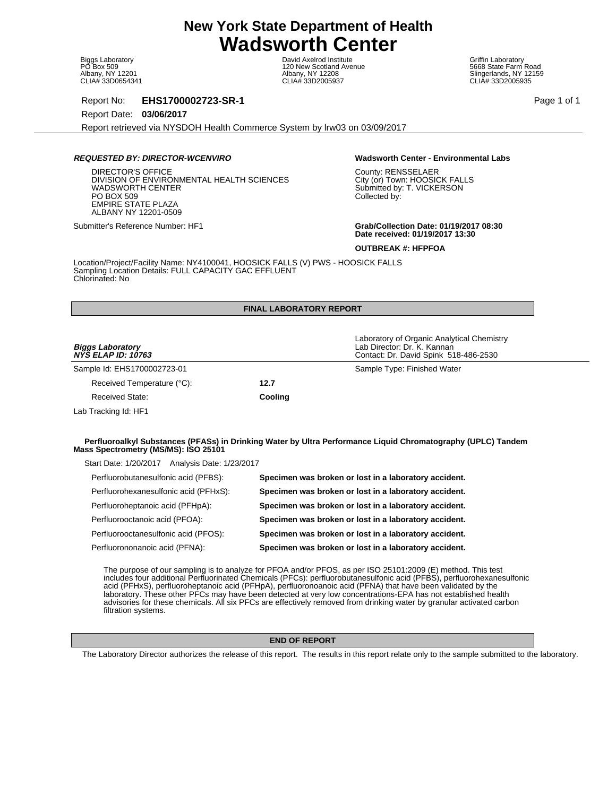Biggs Laboratory PO Box 509 Albany, NY 12201 CLIA# 33D0654341

David Axelrod Institute 120 New Scotland Avenue Albany, NY 12208 CLIA# 33D2005937

Griffin Laboratory 5668 State Farm Road Slingerlands, NY 12159 CLIA# 33D2005935

Report No: **EHS1700002723-SR-1** Page 1 of 1

Report Date: **03/06/2017**

Report retrieved via NYSDOH Health Commerce System by lrw03 on 03/09/2017

# **REQUESTED BY: DIRECTOR-WCENVIRO Wadsworth Center - Environmental Labs**

DIRECTOR'S OFFICE DIVISION OF ENVIRONMENTAL HEALTH SCIENCES WADSWORTH CENTER PO BOX 509 EMPIRE STATE PLAZA ALBANY NY 12201-0509

County: RENSSELAER City (or) Town: HOOSICK FALLS Submitted by: T. VICKERSON Collected by:

Submitter's Reference Number: HF1 **Grab/Collection Date: 01/19/2017 08:30 Date received: 01/19/2017 13:30**

**OUTBREAK #: HFPFOA**

Location/Project/Facility Name: NY4100041, HOOSICK FALLS (V) PWS - HOOSICK FALLS Sampling Location Details: FULL CAPACITY GAC EFFLUENT Chlorinated: No

# **FINAL LABORATORY REPORT**

| <i>Biggs Laboratory<br/>NYS ELAP ID: 10763</i> |         | Laboratory of Organic Analytical Chemistry<br>Lab Director: Dr. K. Kannan<br>Contact: Dr. David Spink 518-486-2530 |
|------------------------------------------------|---------|--------------------------------------------------------------------------------------------------------------------|
| Sample Id: EHS1700002723-01                    |         | Sample Type: Finished Water                                                                                        |
| Received Temperature (°C):                     | 12.7    |                                                                                                                    |
| Received State:                                | Cooling |                                                                                                                    |
| Lab Tracking Id: HF1                           |         |                                                                                                                    |

# **Perfluoroalkyl Substances (PFASs) in Drinking Water by Ultra Performance Liquid Chromatography (UPLC) Tandem Mass Spectrometry (MS/MS): ISO 25101**

Start Date: 1/20/2017 Analysis Date: 1/23/2017

| Perfluorobutanesulfonic acid (PFBS):  | Specimen was broken or lost in a laboratory accident. |
|---------------------------------------|-------------------------------------------------------|
| Perfluorohexanesulfonic acid (PFHxS): | Specimen was broken or lost in a laboratory accident. |
| Perfluoroheptanoic acid (PFHpA):      | Specimen was broken or lost in a laboratory accident. |
| Perfluorooctanoic acid (PFOA):        | Specimen was broken or lost in a laboratory accident. |
| Perfluorooctanesulfonic acid (PFOS):  | Specimen was broken or lost in a laboratory accident. |
| Perfluorononanoic acid (PFNA):        | Specimen was broken or lost in a laboratory accident. |

The purpose of our sampling is to analyze for PFOA and/or PFOS, as per ISO 25101:2009 (E) method. This test includes four additional Perfluorinated Chemicals (PFCs): perfluorobutanesulfonic acid (PFBS), perfluorohexanesulfonic acid (PFHxS), perfluoroheptanoic acid (PFHpA), perfluoronoanoic acid (PFNA) that have been validated by the laboratory. These other PFCs may have been detected at very low concentrations-EPA has not established health advisories for these chemicals. All six PFCs are effectively removed from drinking water by granular activated carbon filtration systems.

# **END OF REPORT**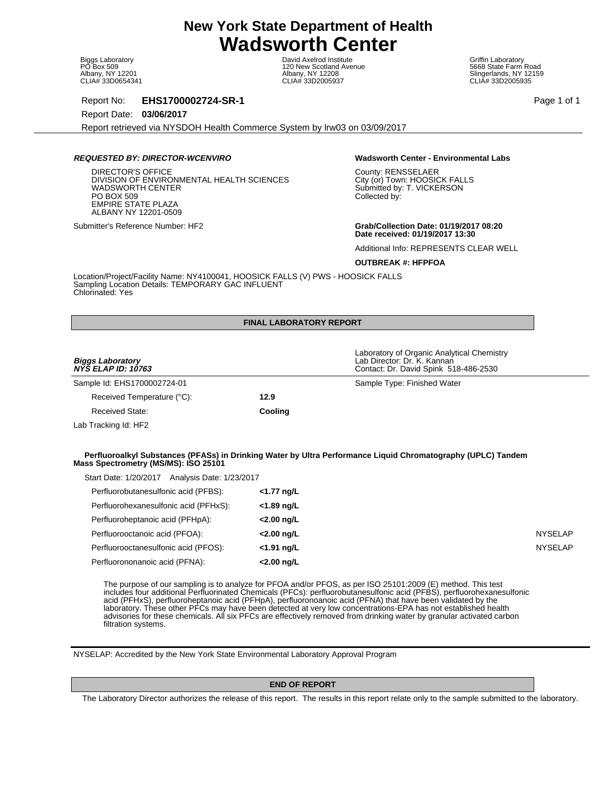Biggs Laboratory PO Box 509 Albany, NY 12201 CLIA# 33D0654341

David Axelrod Institute 120 New Scotland Avenue Albany, NY 12208 CLIA# 33D2005937

Griffin Laboratory 5668 State Farm Road Slingerlands, NY 12159 CLIA# 33D2005935

Report No: **EHS1700002724-SR-1** Page 1 of 1

Report Date: **03/06/2017**

Report retrieved via NYSDOH Health Commerce System by lrw03 on 03/09/2017

# **REQUESTED BY: DIRECTOR-WCENVIRO Wadsworth Center - Environmental Labs**

DIRECTOR'S OFFICE DIVISION OF ENVIRONMENTAL HEALTH SCIENCES WADSWORTH CENTER PO BOX 509 EMPIRE STATE PLAZA ALBANY NY 12201-0509

County: RENSSELAER City (or) Town: HOOSICK FALLS Submitted by: T. VICKERSON Collected by:

Submitter's Reference Number: HF2 **Grab/Collection Date: 01/19/2017 08:20 Date received: 01/19/2017 13:30**

Laboratory of Organic Analytical Chemistry

Contact: Dr. David Spink 518-486-2530

Additional Info: REPRESENTS CLEAR WELL

**OUTBREAK #: HFPFOA**

Lab Director: Dr. K. Kannan

Location/Project/Facility Name: NY4100041, HOOSICK FALLS (V) PWS - HOOSICK FALLS Sampling Location Details: TEMPORARY GAC INFLUENT Chlorinated: Yes

# **FINAL LABORATORY REPORT**

| <b>Biggs Laboratory</b>   |  |  |
|---------------------------|--|--|
| <b>NYS ELAP ID: 10763</b> |  |  |

Sample Id: EHS1700002724-01 Sample Type: Finished Water

Received Temperature (°C): **12.9** Received State: **Cooling**

Lab Tracking Id: HF2

### **Perfluoroalkyl Substances (PFASs) in Drinking Water by Ultra Performance Liquid Chromatography (UPLC) Tandem Mass Spectrometry (MS/MS): ISO 25101**

| Perfluorobutanesulfonic acid (PFBS):<br><1.77 ng/L<br>Perfluorohexanesulfonic acid (PFHxS):<br><1.89 ng/L<br>Perfluoroheptanoic acid (PFHpA):<br><2.00 ng/L<br>Perfluorooctanoic acid (PFOA):<br><2.00 ng/L<br>Perfluorooctanesulfonic acid (PFOS):<br>$<$ 1.91 ng/L<br>Perfluorononanoic acid (PFNA):<br><2.00 ng/L | Analysis Date: 1/23/2017<br>Start Date: 1/20/2017 |  |
|----------------------------------------------------------------------------------------------------------------------------------------------------------------------------------------------------------------------------------------------------------------------------------------------------------------------|---------------------------------------------------|--|
|                                                                                                                                                                                                                                                                                                                      |                                                   |  |
|                                                                                                                                                                                                                                                                                                                      |                                                   |  |
|                                                                                                                                                                                                                                                                                                                      |                                                   |  |
|                                                                                                                                                                                                                                                                                                                      |                                                   |  |
|                                                                                                                                                                                                                                                                                                                      |                                                   |  |
|                                                                                                                                                                                                                                                                                                                      |                                                   |  |

The purpose of our sampling is to analyze for PFOA and/or PFOS, as per ISO 25101:2009 (E) method. This test includes four additional Perfluorinated Chemicals (PFCs): perfluorobutanesulfonic acid (PFBS), perfluorohexanesulfonic acid (PFHxS), perfluoroheptanoic acid (PFHpA), perfluoronoanoic acid (PFNA) that have been validated by the laboratory. These other PFCs may have been detected at very low concentrations-EPA has not established health advisories for these chemicals. All six PFCs are effectively removed from drinking water by granular activated carbon filtration systems.

NYSELAP: Accredited by the New York State Environmental Laboratory Approval Program

# **END OF REPORT**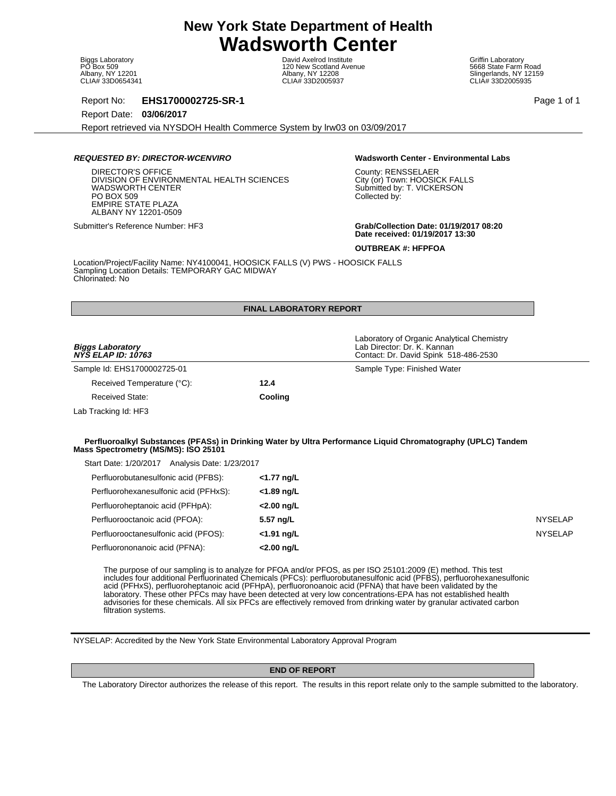Biggs Laboratory PO Box 509 Albany, NY 12201 CLIA# 33D0654341

David Axelrod Institute 120 New Scotland Avenue Albany, NY 12208 CLIA# 33D2005937

Griffin Laboratory 5668 State Farm Road Slingerlands, NY 12159 CLIA# 33D2005935

Report No: **EHS1700002725-SR-1** Page 1 of 1

Report Date: **03/06/2017**

Report retrieved via NYSDOH Health Commerce System by lrw03 on 03/09/2017

# **REQUESTED BY: DIRECTOR-WCENVIRO Wadsworth Center - Environmental Labs**

DIRECTOR'S OFFICE DIVISION OF ENVIRONMENTAL HEALTH SCIENCES WADSWORTH CENTER PO BOX 509 EMPIRE STATE PLAZA ALBANY NY 12201-0509

County: RENSSELAER City (or) Town: HOOSICK FALLS Submitted by: T. VICKERSON Collected by:

Submitter's Reference Number: HF3 **Grab/Collection Date: 01/19/2017 08:20 Date received: 01/19/2017 13:30**

**OUTBREAK #: HFPFOA**

Location/Project/Facility Name: NY4100041, HOOSICK FALLS (V) PWS - HOOSICK FALLS Sampling Location Details: TEMPORARY GAC MIDWAY Chlorinated: No

# **FINAL LABORATORY REPORT**

| <b>Biggs Laboratory</b><br><b>NYS ELAP ID: 10763</b> |         | Laboratory of Organic Analytical Chemistry<br>Lab Director: Dr. K. Kannan<br>Contact: Dr. David Spink 518-486-2530 |
|------------------------------------------------------|---------|--------------------------------------------------------------------------------------------------------------------|
| Sample Id: EHS1700002725-01                          |         | Sample Type: Finished Water                                                                                        |
| Received Temperature (°C):                           | 12.4    |                                                                                                                    |
| <b>Received State:</b>                               | Cooling |                                                                                                                    |
| Lab Tracking Id: HF3                                 |         |                                                                                                                    |
| Mass Spectrometry (MS/MS): ISO 25101                 |         | Perfluoroalkyl Substances (PFASs) in Drinking Water by Ultra Performance Liquid Chromatography (UPLC) Tandem       |
| Start Date: 1/20/2017 Analysis Date: 1/23/2017       |         |                                                                                                                    |
|                                                      |         |                                                                                                                    |

| Perfluorobutanesulfonic acid (PFBS):  | <1.77 ng/L    |                |
|---------------------------------------|---------------|----------------|
| Perfluorohexanesulfonic acid (PFHxS): | <1.89 ng/L    |                |
| Perfluoroheptanoic acid (PFHpA):      | <2.00 ng/L    |                |
| Perfluorooctanoic acid (PFOA):        | 5.57 ng/L     | <b>NYSELAP</b> |
| Perfluorooctanesulfonic acid (PFOS):  | $<$ 1.91 ng/L | <b>NYSELAP</b> |
| Perfluorononanoic acid (PFNA):        | <2.00 ng/L    |                |

The purpose of our sampling is to analyze for PFOA and/or PFOS, as per ISO 25101:2009 (E) method. This test includes four additional Perfluorinated Chemicals (PFCs): perfluorobutanesulfonic acid (PFBS), perfluorohexanesulfonic acid (PFHxS), perfluoroheptanoic acid (PFHpA), perfluoronoanoic acid (PFNA) that have been validated by the laboratory. These other PFCs may have been detected at very low concentrations-EPA has not established health advisories for these chemicals. All six PFCs are effectively removed from drinking water by granular activated carbon filtration systems.

NYSELAP: Accredited by the New York State Environmental Laboratory Approval Program

### **END OF REPORT**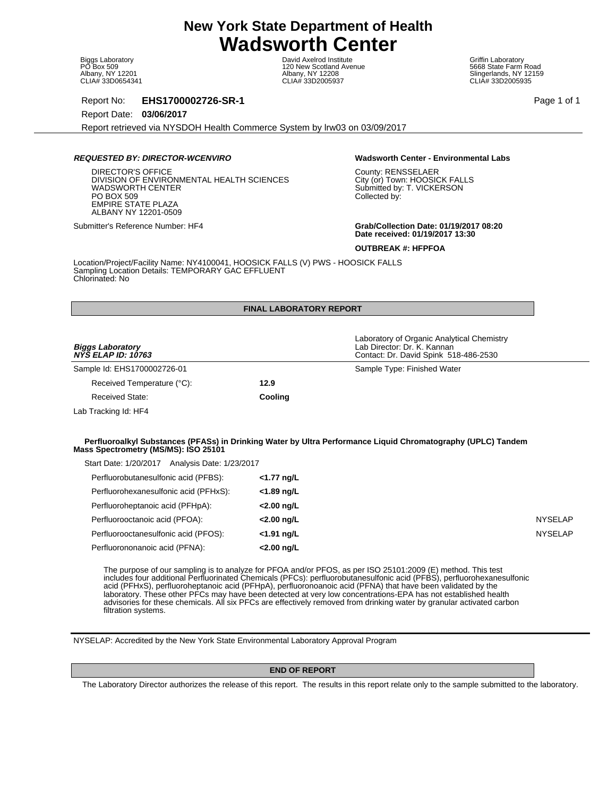Biggs Laboratory PO Box 509 Albany, NY 12201 CLIA# 33D0654341

David Axelrod Institute 120 New Scotland Avenue Albany, NY 12208 CLIA# 33D2005937

Griffin Laboratory 5668 State Farm Road Slingerlands, NY 12159 CLIA# 33D2005935

Report No: **EHS1700002726-SR-1** Page 1 of 1

Report Date: **03/06/2017**

Report retrieved via NYSDOH Health Commerce System by lrw03 on 03/09/2017

# **REQUESTED BY: DIRECTOR-WCENVIRO Wadsworth Center - Environmental Labs**

DIRECTOR'S OFFICE DIVISION OF ENVIRONMENTAL HEALTH SCIENCES WADSWORTH CENTER PO BOX 509 EMPIRE STATE PLAZA ALBANY NY 12201-0509

County: RENSSELAER City (or) Town: HOOSICK FALLS Submitted by: T. VICKERSON Collected by:

Submitter's Reference Number: HF4 **Grab/Collection Date: 01/19/2017 08:20 Date received: 01/19/2017 13:30**

**OUTBREAK #: HFPFOA**

Location/Project/Facility Name: NY4100041, HOOSICK FALLS (V) PWS - HOOSICK FALLS Sampling Location Details: TEMPORARY GAC EFFLUENT Chlorinated: No

# **FINAL LABORATORY REPORT**

| <b>Biggs Laboratory</b><br><b>NYS ELAP ID: 10763</b>                                   |         | Laboratory of Organic Analytical Chemistry<br>Lab Director: Dr. K. Kannan<br>Contact: Dr. David Spink 518-486-2530 |
|----------------------------------------------------------------------------------------|---------|--------------------------------------------------------------------------------------------------------------------|
| Sample Id: EHS1700002726-01                                                            |         | Sample Type: Finished Water                                                                                        |
| Received Temperature (°C):                                                             | 12.9    |                                                                                                                    |
| Received State:                                                                        | Cooling |                                                                                                                    |
| Lab Tracking Id: HF4                                                                   |         |                                                                                                                    |
| Mass Spectrometry (MS/MS): ISO 25101<br>Start Date: 1/20/2017 Analysis Date: 1/23/2017 |         | Perfluoroalkyl Substances (PFASs) in Drinking Water by Ultra Performance Liquid Chromatography (UPLC) Tandem       |

| Perfluorobutanesulfonic acid (PFBS):  | <1.77 ng/L    |                |
|---------------------------------------|---------------|----------------|
| Perfluorohexanesulfonic acid (PFHxS): | <1.89 ng/L    |                |
| Perfluoroheptanoic acid (PFHpA):      | $<$ 2.00 ng/L |                |
| Perfluorooctanoic acid (PFOA):        | $<$ 2.00 ng/L | <b>NYSELAP</b> |
| Perfluorooctanesulfonic acid (PFOS):  | $<$ 1.91 ng/L | <b>NYSELAP</b> |
| Perfluorononanoic acid (PFNA):        | <2.00 ng/L    |                |

The purpose of our sampling is to analyze for PFOA and/or PFOS, as per ISO 25101:2009 (E) method. This test includes four additional Perfluorinated Chemicals (PFCs): perfluorobutanesulfonic acid (PFBS), perfluorohexanesulfonic acid (PFHxS), perfluoroheptanoic acid (PFHpA), perfluoronoanoic acid (PFNA) that have been validated by the laboratory. These other PFCs may have been detected at very low concentrations-EPA has not established health advisories for these chemicals. All six PFCs are effectively removed from drinking water by granular activated carbon filtration systems.

NYSELAP: Accredited by the New York State Environmental Laboratory Approval Program

### **END OF REPORT**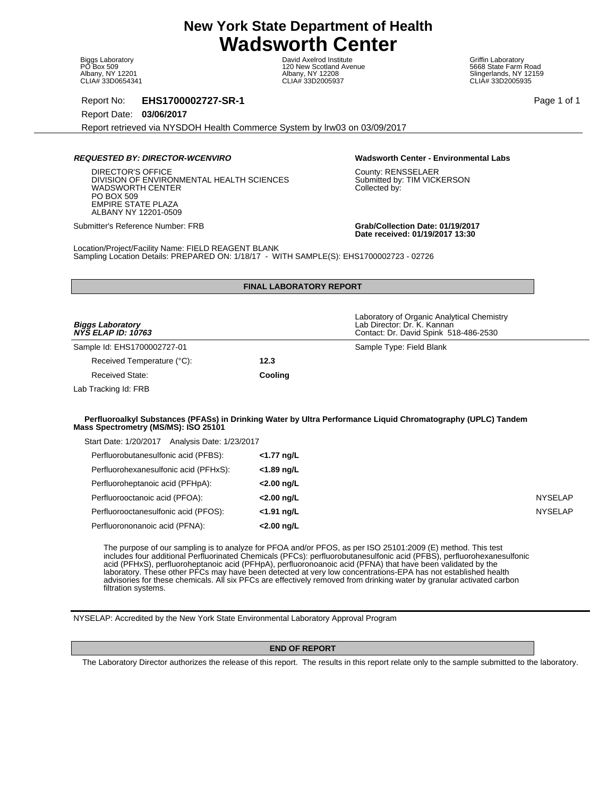Biggs Laboratory PO Box 509 Albany, NY 12201 CLIA# 33D0654341

David Axelrod Institute 120 New Scotland Avenue Albany, NY 12208 CLIA# 33D2005937

Griffin Laboratory 5668 State Farm Road Slingerlands, NY 12159 CLIA# 33D2005935

Report No: **EHS1700002727-SR-1** Page 1 of 1

Report Date: **03/06/2017**

Report retrieved via NYSDOH Health Commerce System by lrw03 on 03/09/2017

# **REQUESTED BY: DIRECTOR-WCENVIRO Wadsworth Center - Environmental Labs**

DIRECTOR'S OFFICE DIVISION OF ENVIRONMENTAL HEALTH SCIENCES WADSWORTH CENTER PO BOX 509 EMPIRE STATE PLAZA ALBANY NY 12201-0509

County: RENSSELAER Submitted by: TIM VICKERSON Collected by:

Submitter's Reference Number: FRB **Grab/Collection Date: 01/19/2017 Date received: 01/19/2017 13:30**

Location/Project/Facility Name: FIELD REAGENT BLANK Sampling Location Details: PREPARED ON: 1/18/17 - WITH SAMPLE(S): EHS1700002723 - 02726

|                                                                                        | <b>FINAL LABORATORY REPORT</b> |                                                                                                                                                                                                                                                                                                                                                      |
|----------------------------------------------------------------------------------------|--------------------------------|------------------------------------------------------------------------------------------------------------------------------------------------------------------------------------------------------------------------------------------------------------------------------------------------------------------------------------------------------|
| <b>Biggs Laboratory</b><br>$N\bar{Y}\bar{S}$ ELAP ID: 10763                            |                                | Laboratory of Organic Analytical Chemistry<br>Lab Director: Dr. K. Kannan<br>Contact: Dr. David Spink 518-486-2530                                                                                                                                                                                                                                   |
| Sample Id: EHS1700002727-01                                                            |                                | Sample Type: Field Blank                                                                                                                                                                                                                                                                                                                             |
| Received Temperature (°C):                                                             | 12.3                           |                                                                                                                                                                                                                                                                                                                                                      |
| <b>Received State:</b>                                                                 | Cooling                        |                                                                                                                                                                                                                                                                                                                                                      |
| Lab Tracking Id: FRB                                                                   |                                |                                                                                                                                                                                                                                                                                                                                                      |
| Mass Spectrometry (MS/MS): ISO 25101<br>Start Date: 1/20/2017 Analysis Date: 1/23/2017 |                                |                                                                                                                                                                                                                                                                                                                                                      |
| Perfluorobutanesulfonic acid (PFBS):                                                   | <1.77 ng/L                     |                                                                                                                                                                                                                                                                                                                                                      |
| Perfluorohexanesulfonic acid (PFHxS):                                                  | <1.89 ng/L                     |                                                                                                                                                                                                                                                                                                                                                      |
| Perfluoroheptanoic acid (PFHpA):                                                       | <2.00 ng/L                     |                                                                                                                                                                                                                                                                                                                                                      |
| Perfluorooctanoic acid (PFOA):                                                         | <2.00 ng/L                     | <b>NYSELAP</b>                                                                                                                                                                                                                                                                                                                                       |
| Perfluorooctanesulfonic acid (PFOS):                                                   | $<$ 1.91 ng/L                  | <b>NYSELAP</b>                                                                                                                                                                                                                                                                                                                                       |
| Perfluorononanoic acid (PFNA):                                                         | <2.00 ng/L                     |                                                                                                                                                                                                                                                                                                                                                      |
|                                                                                        |                                | The purpose of our sampling is to analyze for PFOA and/or PFOS, as per ISO 25101:2009 (E) method. This test<br>includes four additional Perfluorinated Chemicals (PFCs): perfluorobutanesulfonic acid (PFBS), perfluorohexanesulfonic<br>acid (PFHxS), perfluoroheptanoic acid (PFHpA), perfluoronoanoic acid (PFNA) that have been validated by the |

advisories for these chemicals. All six PFCs are effectively removed from drinking water by granular activated carbon filtration systems.

NYSELAP: Accredited by the New York State Environmental Laboratory Approval Program

# **END OF REPORT**

laboratory. These other PFCs may have been detected at very low concentrations-EPA has not established health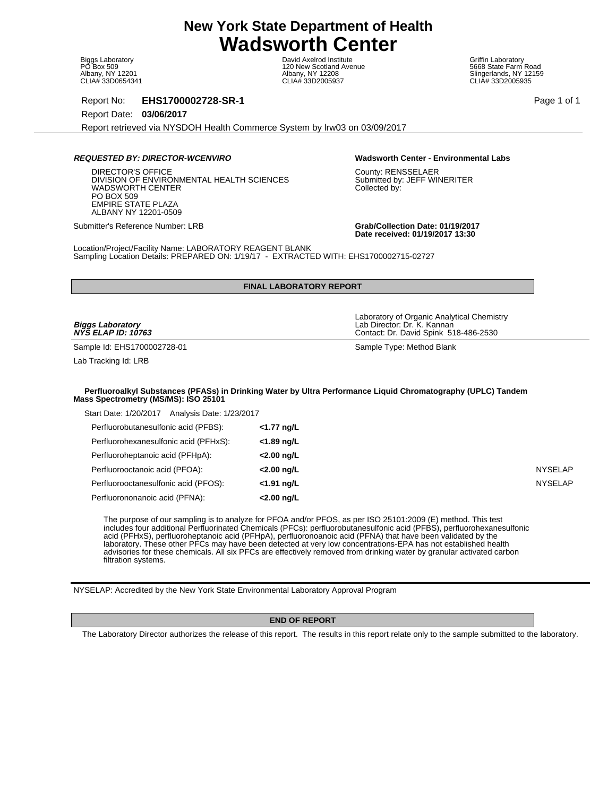Biggs Laboratory PO Box 509 Albany, NY 12201 CLIA# 33D0654341

David Axelrod Institute 120 New Scotland Avenue Albany, NY 12208 CLIA# 33D2005937

Griffin Laboratory 5668 State Farm Road Slingerlands, NY 12159 CLIA# 33D2005935

Report No: **EHS1700002728-SR-1** Page 1 of 1

Report Date: **03/06/2017**

Report retrieved via NYSDOH Health Commerce System by lrw03 on 03/09/2017

### **REQUESTED BY: DIRECTOR-WCENVIRO Wadsworth Center - Environmental Labs**

DIRECTOR'S OFFICE DIVISION OF ENVIRONMENTAL HEALTH SCIENCES WADSWORTH CENTER PO BOX 509 EMPIRE STATE PLAZA ALBANY NY 12201-0509

County: RENSSELAER Submitted by: JEFF WINERITER Collected by:

Submitter's Reference Number: LRB **Grab/Collection Date: 01/19/2017 Date received: 01/19/2017 13:30**

Location/Project/Facility Name: LABORATORY REAGENT BLANK Sampling Location Details: PREPARED ON: 1/19/17 - EXTRACTED WITH: EHS1700002715-02727

# **FINAL LABORATORY REPORT**

**Biggs Laboratory NYS ELAP ID: 10763**

Sample Id: EHS1700002728-01 Sample Type: Method Blank

Lab Tracking Id: LRB

Lab Director: Dr. K. Kannan

Laboratory of Organic Analytical Chemistry

Contact: Dr. David Spink 518-486-2530

### **Perfluoroalkyl Substances (PFASs) in Drinking Water by Ultra Performance Liquid Chromatography (UPLC) Tandem Mass Spectrometry (MS/MS): ISO 25101**

| Analysis Date: 1/23/2017<br>Start Date: 1/20/2017 |               |
|---------------------------------------------------|---------------|
| Perfluorobutanesulfonic acid (PFBS):              | <1.77 ng/L    |
| Perfluorohexanesulfonic acid (PFHxS):             | $<$ 1.89 ng/L |
| Perfluoroheptanoic acid (PFHpA):                  | $<$ 2.00 ng/L |
| Perfluorooctanoic acid (PFOA):                    | $<$ 2.00 ng/L |
| Perfluorooctanesulfonic acid (PFOS):              | $<$ 1.91 ng/L |
| Perfluorononanoic acid (PFNA):                    | $<$ 2.00 ng/L |

The purpose of our sampling is to analyze for PFOA and/or PFOS, as per ISO 25101:2009 (E) method. This test includes four additional Perfluorinated Chemicals (PFCs): perfluorobutanesulfonic acid (PFBS), perfluorohexanesulfonic acid (PFHxS), perfluoroheptanoic acid (PFHpA), perfluoronoanoic acid (PFNA) that have been validated by the laboratory. These other PFCs may have been detected at very low concentrations-EPA has not established health advisories for these chemicals. All six PFCs are effectively removed from drinking water by granular activated carbon filtration systems.

NYSELAP: Accredited by the New York State Environmental Laboratory Approval Program

### **END OF REPORT**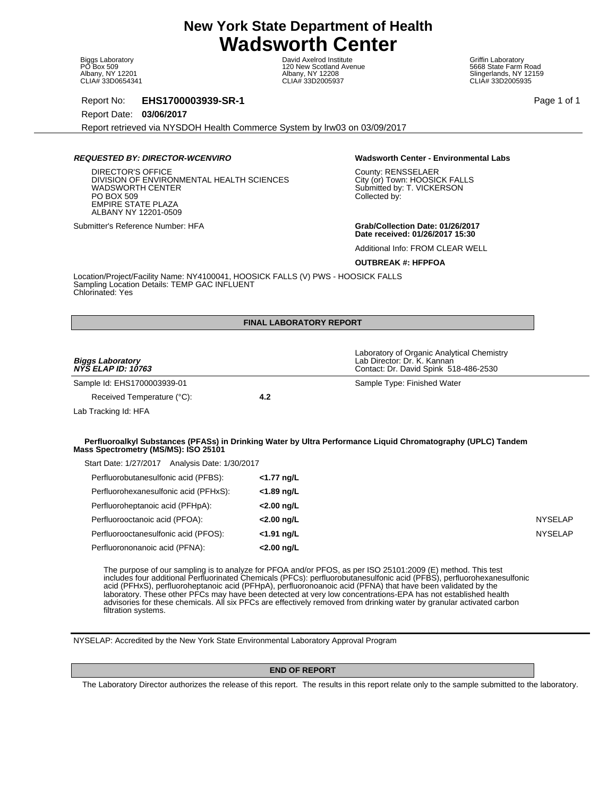Biggs Laboratory PO Box 509 Albany, NY 12201 CLIA# 33D0654341

David Axelrod Institute 120 New Scotland Avenue Albany, NY 12208 CLIA# 33D2005937

Griffin Laboratory 5668 State Farm Road Slingerlands, NY 12159 CLIA# 33D2005935

Report No: **EHS1700003939-SR-1** Page 1 of 1

Report Date: **03/06/2017**

Report retrieved via NYSDOH Health Commerce System by lrw03 on 03/09/2017

# **REQUESTED BY: DIRECTOR-WCENVIRO Wadsworth Center - Environmental Labs**

DIRECTOR'S OFFICE DIVISION OF ENVIRONMENTAL HEALTH SCIENCES WADSWORTH CENTER PO BOX 509 EMPIRE STATE PLAZA ALBANY NY 12201-0509

County: RENSSELAER City (or) Town: HOOSICK FALLS Submitted by: T. VICKERSON Collected by:

Submitter's Reference Number: HFA **Grab/Collection Date: 01/26/2017 Date received: 01/26/2017 15:30**

Additional Info: FROM CLEAR WELL

### **OUTBREAK #: HFPFOA**

Location/Project/Facility Name: NY4100041, HOOSICK FALLS (V) PWS - HOOSICK FALLS Sampling Location Details: TEMP GAC INFLUENT Chlorinated: Yes

|                                                | <b>FINAL LABORATORY REPORT</b> |                                                                                                                    |                |
|------------------------------------------------|--------------------------------|--------------------------------------------------------------------------------------------------------------------|----------------|
| <b>Biggs Laboratory</b><br>NYS ELAP ID: 10763  |                                | Laboratory of Organic Analytical Chemistry<br>Lab Director: Dr. K. Kannan<br>Contact: Dr. David Spink 518-486-2530 |                |
| Sample Id: EHS1700003939-01                    |                                | Sample Type: Finished Water                                                                                        |                |
| Received Temperature (°C):                     | 4.2                            |                                                                                                                    |                |
| Lab Tracking Id: HFA                           |                                |                                                                                                                    |                |
| Mass Spectrometry (MS/MS): ISO 25101           |                                | Perfluoroalkyl Substances (PFASs) in Drinking Water by Ultra Performance Liquid Chromatography (UPLC) Tandem       |                |
| Start Date: 1/27/2017 Analysis Date: 1/30/2017 |                                |                                                                                                                    |                |
| Perfluorobutanesulfonic acid (PFBS):           | <1.77 ng/L                     |                                                                                                                    |                |
| Perfluorohexanesulfonic acid (PFHxS):          | <1.89 ng/L                     |                                                                                                                    |                |
| Perfluoroheptanoic acid (PFHpA):               | <2.00 ng/L                     |                                                                                                                    |                |
| Perfluorooctanoic acid (PFOA):                 | $<$ 2.00 ng/L                  |                                                                                                                    | <b>NYSELAP</b> |
| Perfluorooctanesulfonic acid (PFOS):           | <1.91 ng/L                     |                                                                                                                    | <b>NYSELAP</b> |

The purpose of our sampling is to analyze for PFOA and/or PFOS, as per ISO 25101:2009 (E) method. This test includes four additional Perfluorinated Chemicals (PFCs): perfluorobutanesulfonic acid (PFBS), perfluorohexanesulfonic acid (PFHxS), perfluoroheptanoic acid (PFHpA), perfluoronoanoic acid (PFNA) that have been validated by the laboratory. These other PFCs may have been detected at very low concentrations-EPA has not established health advisories for these chemicals. All six PFCs are effectively removed from drinking water by granular activated carbon filtration systems.

NYSELAP: Accredited by the New York State Environmental Laboratory Approval Program

### **END OF REPORT**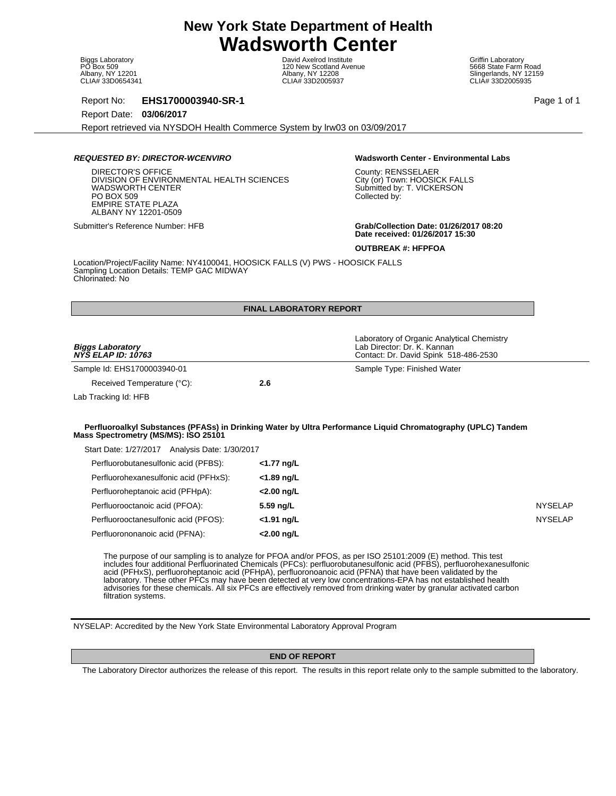Biggs Laboratory PO Box 509 Albany, NY 12201 CLIA# 33D0654341

David Axelrod Institute 120 New Scotland Avenue Albany, NY 12208 CLIA# 33D2005937

Griffin Laboratory 5668 State Farm Road Slingerlands, NY 12159 CLIA# 33D2005935

Report No: **EHS1700003940-SR-1** Page 1 of 1

Report Date: **03/06/2017**

Report retrieved via NYSDOH Health Commerce System by lrw03 on 03/09/2017

# **REQUESTED BY: DIRECTOR-WCENVIRO Wadsworth Center - Environmental Labs**

DIRECTOR'S OFFICE DIVISION OF ENVIRONMENTAL HEALTH SCIENCES WADSWORTH CENTER PO BOX 509 EMPIRE STATE PLAZA ALBANY NY 12201-0509

County: RENSSELAER City (or) Town: HOOSICK FALLS Submitted by: T. VICKERSON Collected by:

Submitter's Reference Number: HFB **Grab/Collection Date: 01/26/2017 08:20 Date received: 01/26/2017 15:30**

**OUTBREAK #: HFPFOA**

Location/Project/Facility Name: NY4100041, HOOSICK FALLS (V) PWS - HOOSICK FALLS Sampling Location Details: TEMP GAC MIDWAY Chlorinated: No

| <b>FINAL LABORATORY REPORT</b>                                                                                                  |                             |                                                                                                                                                                                                                                                                                                                                                      |
|---------------------------------------------------------------------------------------------------------------------------------|-----------------------------|------------------------------------------------------------------------------------------------------------------------------------------------------------------------------------------------------------------------------------------------------------------------------------------------------------------------------------------------------|
| <b>Biggs Laboratory</b><br><b>NYS ELAP ID: 10763</b>                                                                            |                             | Laboratory of Organic Analytical Chemistry<br>Lab Director: Dr. K. Kannan<br>Contact: Dr. David Spink 518-486-2530                                                                                                                                                                                                                                   |
| Sample Id: EHS1700003940-01                                                                                                     |                             | Sample Type: Finished Water                                                                                                                                                                                                                                                                                                                          |
| Received Temperature (°C):                                                                                                      | 2.6                         |                                                                                                                                                                                                                                                                                                                                                      |
| Lab Tracking Id: HFB                                                                                                            |                             |                                                                                                                                                                                                                                                                                                                                                      |
| Start Date: 1/27/2017 Analysis Date: 1/30/2017<br>Perfluorobutanesulfonic acid (PFBS):<br>Perfluorohexanesulfonic acid (PFHxS): | $<$ 1.77 ng/L<br><1.89 ng/L |                                                                                                                                                                                                                                                                                                                                                      |
| Perfluoroheptanoic acid (PFHpA):                                                                                                | $<$ 2.00 ng/L               |                                                                                                                                                                                                                                                                                                                                                      |
| Perfluorooctanoic acid (PFOA):                                                                                                  | 5.59 ng/L                   | <b>NYSELAP</b>                                                                                                                                                                                                                                                                                                                                       |
| Perfluorooctanesulfonic acid (PFOS):                                                                                            | $<$ 1.91 ng/L               | <b>NYSELAP</b>                                                                                                                                                                                                                                                                                                                                       |
| Perfluorononanoic acid (PFNA):                                                                                                  | <2.00 ng/L                  |                                                                                                                                                                                                                                                                                                                                                      |
|                                                                                                                                 |                             | The purpose of our sampling is to analyze for PFOA and/or PFOS, as per ISO 25101:2009 (E) method. This test<br>includes four additional Perfluorinated Chemicals (PFCs): perfluorobutanesulfonic acid (PFBS), perfluorohexanesulfonic<br>acid (PFHxS), perfluoroheptanoic acid (PFHpA), perfluoronoanoic acid (PFNA) that have been validated by the |

acid (PFHxS), perfluoroheptanoic acid (PFHpA), perfluoronoanoic acid (PFNA) that have been validated by the laboratory. These other PFCs may have been detected at very low concentrations-EPA has not established health advisories for these chemicals. All six PFCs are effectively removed from drinking water by granular activated carbon filtration systems.

NYSELAP: Accredited by the New York State Environmental Laboratory Approval Program

# **END OF REPORT**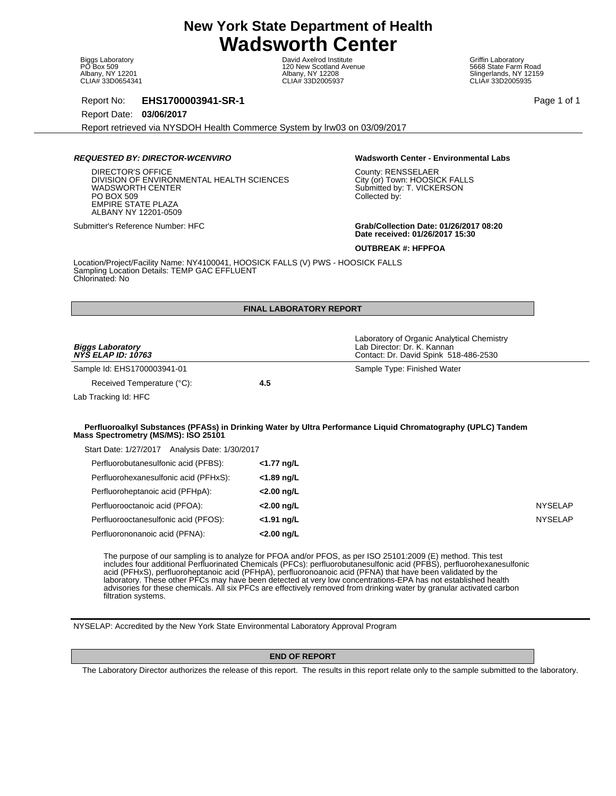Biggs Laboratory PO Box 509 Albany, NY 12201 CLIA# 33D0654341

David Axelrod Institute 120 New Scotland Avenue Albany, NY 12208 CLIA# 33D2005937

Griffin Laboratory 5668 State Farm Road Slingerlands, NY 12159 CLIA# 33D2005935

Report No: **EHS1700003941-SR-1** Page 1 of 1

Report Date: **03/06/2017**

Report retrieved via NYSDOH Health Commerce System by lrw03 on 03/09/2017

# **REQUESTED BY: DIRECTOR-WCENVIRO Wadsworth Center - Environmental Labs**

DIRECTOR'S OFFICE DIVISION OF ENVIRONMENTAL HEALTH SCIENCES WADSWORTH CENTER PO BOX 509 EMPIRE STATE PLAZA ALBANY NY 12201-0509

County: RENSSELAER City (or) Town: HOOSICK FALLS Submitted by: T. VICKERSON Collected by:

Submitter's Reference Number: HFC **Grab/Collection Date: 01/26/2017 08:20 Date received: 01/26/2017 15:30**

**OUTBREAK #: HFPFOA**

Location/Project/Facility Name: NY4100041, HOOSICK FALLS (V) PWS - HOOSICK FALLS Sampling Location Details: TEMP GAC EFFLUENT Chlorinated: No

|                                                      | <b>FINAL LABORATORY REPORT</b> |                                                                                                                    |                |
|------------------------------------------------------|--------------------------------|--------------------------------------------------------------------------------------------------------------------|----------------|
| <b>Biggs Laboratory</b><br><b>NYS ELAP ID: 10763</b> |                                | Laboratory of Organic Analytical Chemistry<br>Lab Director: Dr. K. Kannan<br>Contact: Dr. David Spink 518-486-2530 |                |
| Sample Id: EHS1700003941-01                          |                                | Sample Type: Finished Water                                                                                        |                |
| Received Temperature (°C):                           | 4.5                            |                                                                                                                    |                |
| Lab Tracking Id: HFC                                 |                                |                                                                                                                    |                |
| Mass Spectrometry (MS/MS): ISO 25101                 |                                | Perfluoroalkyl Substances (PFASs) in Drinking Water by Ultra Performance Liquid Chromatography (UPLC) Tandem       |                |
| Start Date: 1/27/2017 Analysis Date: 1/30/2017       |                                |                                                                                                                    |                |
| Perfluorobutanesulfonic acid (PFBS):                 | $<$ 1.77 ng/L                  |                                                                                                                    |                |
| Perfluorohexanesulfonic acid (PFHxS):                | <1.89 ng/L                     |                                                                                                                    |                |
| Perfluoroheptanoic acid (PFHpA):                     | <2.00 ng/L                     |                                                                                                                    |                |
| Perfluorooctanoic acid (PFOA):                       | <2.00 ng/L                     |                                                                                                                    | <b>NYSELAP</b> |
| Perfluorooctanesulfonic acid (PFOS):                 | <1.91 ng/L                     |                                                                                                                    | <b>NYSELAP</b> |

acid (PFHxS), perfluoroheptanoic acid (PFHpA), perfluoronoanoic acid (PFNA) that have been validated by the laboratory. These other PFCs may have been detected at very low concentrations-EPA has not established health advisories for these chemicals. All six PFCs are effectively removed from drinking water by granular activated carbon filtration systems.

NYSELAP: Accredited by the New York State Environmental Laboratory Approval Program

# **END OF REPORT**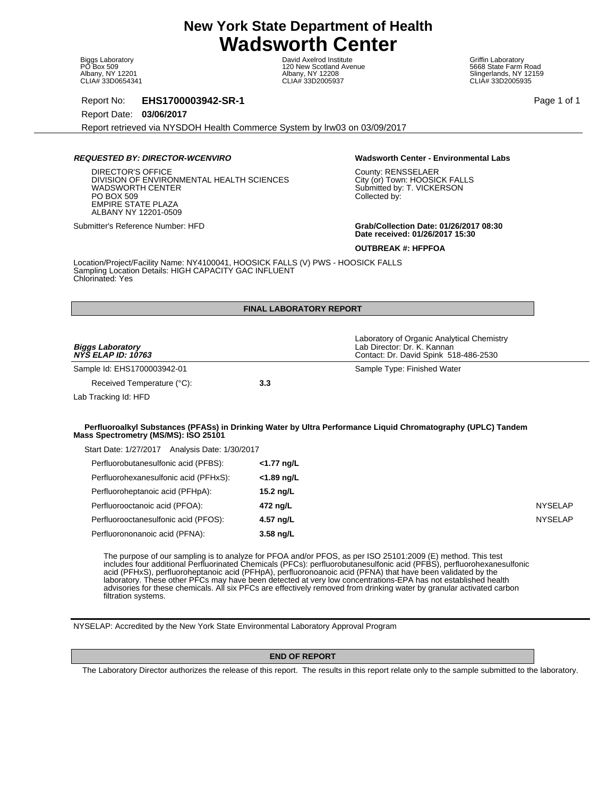Biggs Laboratory PO Box 509 Albany, NY 12201 CLIA# 33D0654341

David Axelrod Institute 120 New Scotland Avenue Albany, NY 12208 CLIA# 33D2005937

Griffin Laboratory 5668 State Farm Road Slingerlands, NY 12159 CLIA# 33D2005935

Report No: **EHS1700003942-SR-1** Page 1 of 1

Report Date: **03/06/2017**

Report retrieved via NYSDOH Health Commerce System by lrw03 on 03/09/2017

# **REQUESTED BY: DIRECTOR-WCENVIRO Wadsworth Center - Environmental Labs**

DIRECTOR'S OFFICE DIVISION OF ENVIRONMENTAL HEALTH SCIENCES WADSWORTH CENTER PO BOX 509 EMPIRE STATE PLAZA ALBANY NY 12201-0509

County: RENSSELAER City (or) Town: HOOSICK FALLS Submitted by: T. VICKERSON Collected by:

Submitter's Reference Number: HFD **Grab/Collection Date: 01/26/2017 08:30 Date received: 01/26/2017 15:30**

**OUTBREAK #: HFPFOA**

Location/Project/Facility Name: NY4100041, HOOSICK FALLS (V) PWS - HOOSICK FALLS Sampling Location Details: HIGH CAPACITY GAC INFLUENT Chlorinated: Yes

|                                                | <b>FINAL LABORATORY REPORT</b> |                                                                                                                    |                |
|------------------------------------------------|--------------------------------|--------------------------------------------------------------------------------------------------------------------|----------------|
| <b>Biggs Laboratory</b><br>NYŠ ELAP ID: 10763  |                                | Laboratory of Organic Analytical Chemistry<br>Lab Director: Dr. K. Kannan<br>Contact: Dr. David Spink 518-486-2530 |                |
| Sample Id: EHS1700003942-01                    |                                | Sample Type: Finished Water                                                                                        |                |
| Received Temperature (°C):                     | 3.3                            |                                                                                                                    |                |
| Lab Tracking Id: HFD                           |                                |                                                                                                                    |                |
| Mass Spectrometry (MS/MS): ISO 25101           |                                | Perfluoroalkyl Substances (PFASs) in Drinking Water by Ultra Performance Liquid Chromatography (UPLC) Tandem       |                |
| Start Date: 1/27/2017 Analysis Date: 1/30/2017 |                                |                                                                                                                    |                |
| Perfluorobutanesulfonic acid (PFBS):           | <1.77 ng/L                     |                                                                                                                    |                |
| Perfluorohexanesulfonic acid (PFHxS):          | <1.89 ng/L                     |                                                                                                                    |                |
| Perfluoroheptanoic acid (PFHpA):               | 15.2 ng/L                      |                                                                                                                    |                |
| Perfluorooctanoic acid (PFOA):                 | 472 ng/L                       |                                                                                                                    | <b>NYSELAP</b> |
| Perfluorooctanesulfonic acid (PFOS):           | 4.57 ng/L                      |                                                                                                                    | <b>NYSELAP</b> |

The purpose of our sampling is to analyze for PFOA and/or PFOS, as per ISO 25101:2009 (E) method. This test includes four additional Perfluorinated Chemicals (PFCs): perfluorobutanesulfonic acid (PFBS), perfluorohexanesulfonic acid (PFHxS), perfluoroheptanoic acid (PFHpA), perfluoronoanoic acid (PFNA) that have been validated by the laboratory. These other PFCs may have been detected at very low concentrations-EPA has not established health advisories for these chemicals. All six PFCs are effectively removed from drinking water by granular activated carbon filtration systems.

NYSELAP: Accredited by the New York State Environmental Laboratory Approval Program

# **END OF REPORT**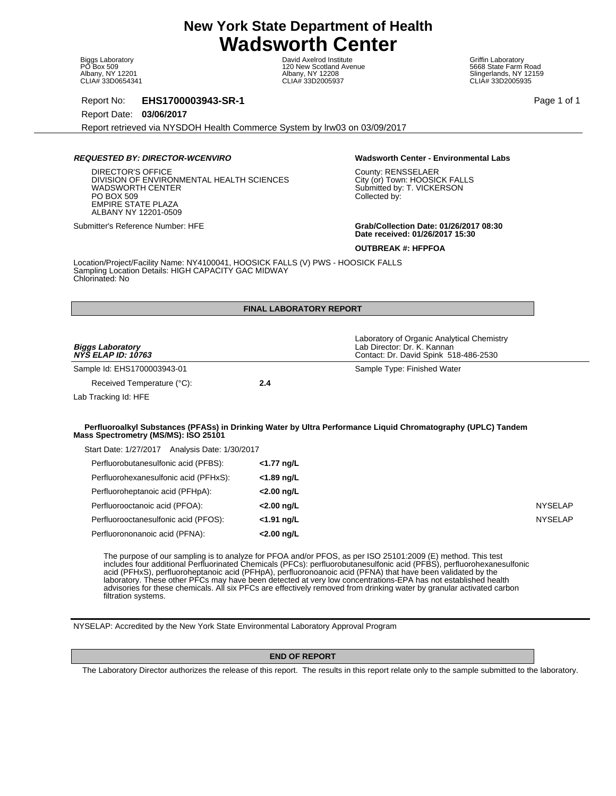Biggs Laboratory PO Box 509 Albany, NY 12201 CLIA# 33D0654341

David Axelrod Institute 120 New Scotland Avenue Albany, NY 12208 CLIA# 33D2005937

Griffin Laboratory 5668 State Farm Road Slingerlands, NY 12159 CLIA# 33D2005935

Report No: **EHS1700003943-SR-1** Page 1 of 1

Report Date: **03/06/2017**

Report retrieved via NYSDOH Health Commerce System by lrw03 on 03/09/2017

# **REQUESTED BY: DIRECTOR-WCENVIRO Wadsworth Center - Environmental Labs**

DIRECTOR'S OFFICE DIVISION OF ENVIRONMENTAL HEALTH SCIENCES WADSWORTH CENTER PO BOX 509 EMPIRE STATE PLAZA ALBANY NY 12201-0509

County: RENSSELAER City (or) Town: HOOSICK FALLS Submitted by: T. VICKERSON Collected by:

Submitter's Reference Number: HFE **Grab/Collection Date: 01/26/2017 08:30 Date received: 01/26/2017 15:30**

**OUTBREAK #: HFPFOA**

Location/Project/Facility Name: NY4100041, HOOSICK FALLS (V) PWS - HOOSICK FALLS Sampling Location Details: HIGH CAPACITY GAC MIDWAY Chlorinated: No

|                                                      | <b>FINAL LABORATORY REPORT</b> |                                                                                                                    |                |
|------------------------------------------------------|--------------------------------|--------------------------------------------------------------------------------------------------------------------|----------------|
| <b>Biggs Laboratory</b><br><b>NYS ELAP ID: 10763</b> |                                | Laboratory of Organic Analytical Chemistry<br>Lab Director: Dr. K. Kannan<br>Contact: Dr. David Spink 518-486-2530 |                |
| Sample Id: EHS1700003943-01                          |                                | Sample Type: Finished Water                                                                                        |                |
| Received Temperature (°C):                           | 2.4                            |                                                                                                                    |                |
| Lab Tracking Id: HFE                                 |                                |                                                                                                                    |                |
| Mass Spectrometry (MS/MS): ISO 25101                 |                                | Perfluoroalkyl Substances (PFASs) in Drinking Water by Ultra Performance Liquid Chromatography (UPLC) Tandem       |                |
| Start Date: 1/27/2017 Analysis Date: 1/30/2017       |                                |                                                                                                                    |                |
| Perfluorobutanesulfonic acid (PFBS):                 | <1.77 ng/L                     |                                                                                                                    |                |
| Perfluorohexanesulfonic acid (PFHxS):                | <1.89 ng/L                     |                                                                                                                    |                |
| Perfluoroheptanoic acid (PFHpA):                     | <2.00 ng/L                     |                                                                                                                    |                |
| Perfluorooctanoic acid (PFOA):                       | <2.00 ng/L                     |                                                                                                                    | <b>NYSELAP</b> |
| Perfluorooctanesulfonic acid (PFOS):                 | <1.91 ng/L                     |                                                                                                                    | <b>NYSELAP</b> |

includes four additional Perfluorinated Chemicals (PFCs): perfluorobutanesulfonic acid (PFBS), perfluorohexanesulfonic acid (PFHxS), perfluoroheptanoic acid (PFHpA), perfluoronoanoic acid (PFNA) that have been validated by the laboratory. These other PFCs may have been detected at very low concentrations-EPA has not established health advisories for these chemicals. All six PFCs are effectively removed from drinking water by granular activated carbon filtration systems.

NYSELAP: Accredited by the New York State Environmental Laboratory Approval Program

# **END OF REPORT**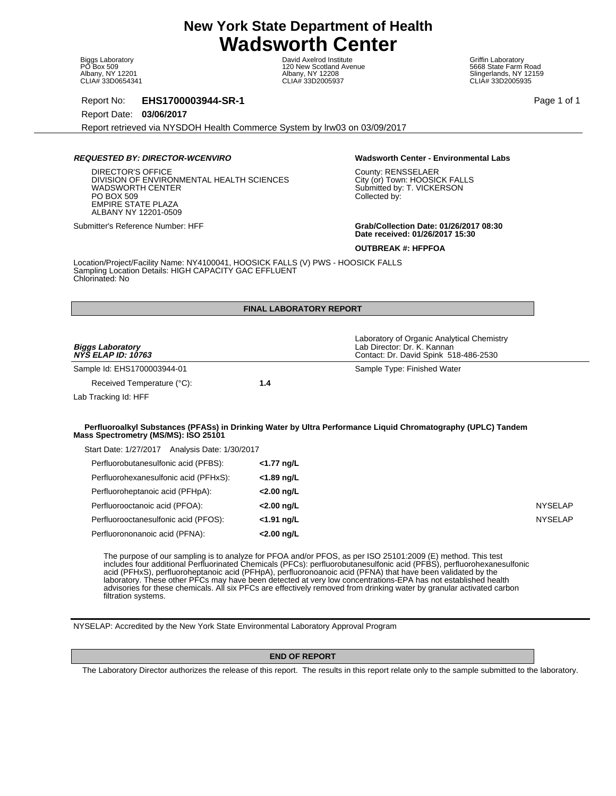Biggs Laboratory PO Box 509 Albany, NY 12201 CLIA# 33D0654341

David Axelrod Institute 120 New Scotland Avenue Albany, NY 12208 CLIA# 33D2005937

Griffin Laboratory 5668 State Farm Road Slingerlands, NY 12159 CLIA# 33D2005935

Report No: **EHS1700003944-SR-1** Page 1 of 1

Report Date: **03/06/2017**

Report retrieved via NYSDOH Health Commerce System by lrw03 on 03/09/2017

# **REQUESTED BY: DIRECTOR-WCENVIRO Wadsworth Center - Environmental Labs**

DIRECTOR'S OFFICE DIVISION OF ENVIRONMENTAL HEALTH SCIENCES WADSWORTH CENTER PO BOX 509 EMPIRE STATE PLAZA ALBANY NY 12201-0509

County: RENSSELAER City (or) Town: HOOSICK FALLS Submitted by: T. VICKERSON Collected by:

Submitter's Reference Number: HFF **Grab/Collection Date: 01/26/2017 08:30 Date received: 01/26/2017 15:30**

**OUTBREAK #: HFPFOA**

Location/Project/Facility Name: NY4100041, HOOSICK FALLS (V) PWS - HOOSICK FALLS Sampling Location Details: HIGH CAPACITY GAC EFFLUENT Chlorinated: No

|                                                                                        | <b>FINAL LABORATORY REPORT</b> |                                                                                                                    |                |
|----------------------------------------------------------------------------------------|--------------------------------|--------------------------------------------------------------------------------------------------------------------|----------------|
| <b>Biggs Laboratory</b><br><b>NYS ELAP ID: 10763</b>                                   |                                | Laboratory of Organic Analytical Chemistry<br>Lab Director: Dr. K. Kannan<br>Contact: Dr. David Spink 518-486-2530 |                |
| Sample Id: EHS1700003944-01                                                            |                                | Sample Type: Finished Water                                                                                        |                |
| Received Temperature (°C):                                                             | 1.4                            |                                                                                                                    |                |
| Lab Tracking Id: HFF                                                                   |                                |                                                                                                                    |                |
|                                                                                        |                                | Perfluoroalkyl Substances (PFASs) in Drinking Water by Ultra Performance Liquid Chromatography (UPLC) Tandem       |                |
|                                                                                        |                                |                                                                                                                    |                |
| Mass Spectrometry (MS/MS): ISO 25101<br>Start Date: 1/27/2017 Analysis Date: 1/30/2017 |                                |                                                                                                                    |                |
| Perfluorobutanesulfonic acid (PFBS):                                                   | <1.77 ng/L                     |                                                                                                                    |                |
| Perfluorohexanesulfonic acid (PFHxS):                                                  | <1.89 ng/L                     |                                                                                                                    |                |
| Perfluoroheptanoic acid (PFHpA):                                                       | <2.00 ng/L                     |                                                                                                                    |                |
| Perfluorooctanoic acid (PFOA):                                                         | <2.00 ng/L                     |                                                                                                                    | <b>NYSELAP</b> |
| Perfluorooctanesulfonic acid (PFOS):                                                   | <1.91 ng/L                     |                                                                                                                    | <b>NYSELAP</b> |

includes four additional Perfluorinated Chemicals (PFCs): perfluorobutanesulfonic acid (PFBS), perfluorohexanesulfonic acid (PFHxS), perfluoroheptanoic acid (PFHpA), perfluoronoanoic acid (PFNA) that have been validated by the laboratory. These other PFCs may have been detected at very low concentrations-EPA has not established health advisories for these chemicals. All six PFCs are effectively removed from drinking water by granular activated carbon filtration systems.

NYSELAP: Accredited by the New York State Environmental Laboratory Approval Program

# **END OF REPORT**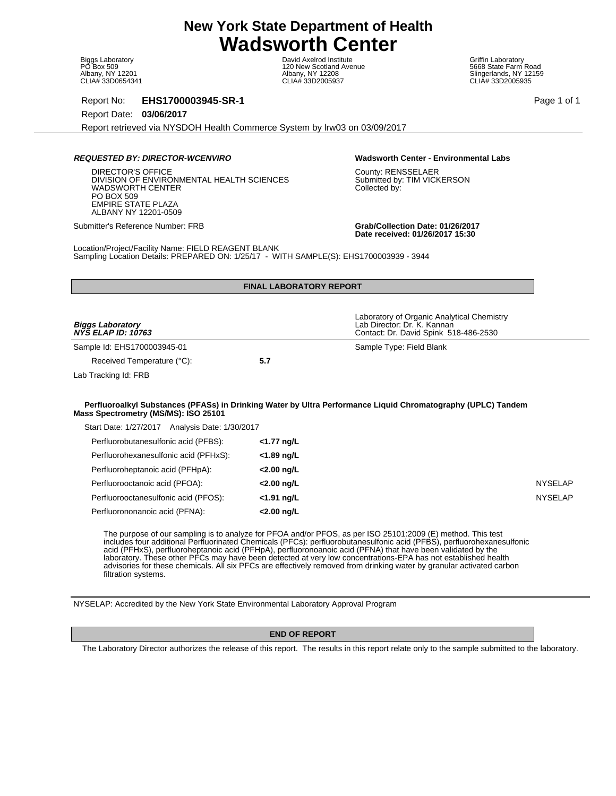Biggs Laboratory PO Box 509 Albany, NY 12201 CLIA# 33D0654341

David Axelrod Institute 120 New Scotland Avenue Albany, NY 12208 CLIA# 33D2005937

Griffin Laboratory 5668 State Farm Road Slingerlands, NY 12159 CLIA# 33D2005935

Report No: **EHS1700003945-SR-1** Page 1 of 1

Report Date: **03/06/2017**

Report retrieved via NYSDOH Health Commerce System by lrw03 on 03/09/2017

# **REQUESTED BY: DIRECTOR-WCENVIRO Wadsworth Center - Environmental Labs**

DIRECTOR'S OFFICE DIVISION OF ENVIRONMENTAL HEALTH SCIENCES WADSWORTH CENTER PO BOX 509 EMPIRE STATE PLAZA ALBANY NY 12201-0509

County: RENSSELAER Submitted by: TIM VICKERSON Collected by:

Submitter's Reference Number: FRB **Grab/Collection Date: 01/26/2017 Date received: 01/26/2017 15:30**

Location/Project/Facility Name: FIELD REAGENT BLANK Sampling Location Details: PREPARED ON: 1/25/17 - WITH SAMPLE(S): EHS1700003939 - 3944

|                                                      | <b>FINAL LABORATORY REPORT</b> |                                                                                                                    |
|------------------------------------------------------|--------------------------------|--------------------------------------------------------------------------------------------------------------------|
| <b>Biggs Laboratory</b><br><b>NYS ELAP ID: 10763</b> |                                | Laboratory of Organic Analytical Chemistry<br>Lab Director: Dr. K. Kannan<br>Contact: Dr. David Spink 518-486-2530 |
| Sample Id: EHS1700003945-01                          |                                | Sample Type: Field Blank                                                                                           |
| Received Temperature (°C):                           | 5.7                            |                                                                                                                    |
| Lab Tracking Id: FRB                                 |                                |                                                                                                                    |
|                                                      |                                |                                                                                                                    |
| Mass Spectrometry (MS/MS): ISO 25101                 |                                | Perfluoroalkyl Substances (PFASs) in Drinking Water by Ultra Performance Liquid Chromatography (UPLC) Tandem       |

| Analysis Date: 1/30/2017<br>Start Date: 1/27/2017 |               |
|---------------------------------------------------|---------------|
| Perfluorobutanesulfonic acid (PFBS):              | <1.77 ng/L    |
| Perfluorohexanesulfonic acid (PFHxS):             | <1.89 ng/L    |
| Perfluoroheptanoic acid (PFHpA):                  | <2.00 ng/L    |
| Perfluorooctanoic acid (PFOA):                    | <2.00 ng/L    |
| Perfluorooctanesulfonic acid (PFOS):              | $<$ 1.91 ng/L |
| Perfluorononanoic acid (PFNA):                    | <2.00 ng/L    |

The purpose of our sampling is to analyze for PFOA and/or PFOS, as per ISO 25101:2009 (E) method. This test includes four additional Perfluorinated Chemicals (PFCs): perfluorobutanesulfonic acid (PFBS), perfluorohexanesulfonic acid (PFHxS), perfluoroheptanoic acid (PFHpA), perfluoronoanoic acid (PFNA) that have been validated by the laboratory. These other PFCs may have been detected at very low concentrations-EPA has not established health advisories for these chemicals. All six PFCs are effectively removed from drinking water by granular activated carbon filtration systems.

NYSELAP: Accredited by the New York State Environmental Laboratory Approval Program

### **END OF REPORT**